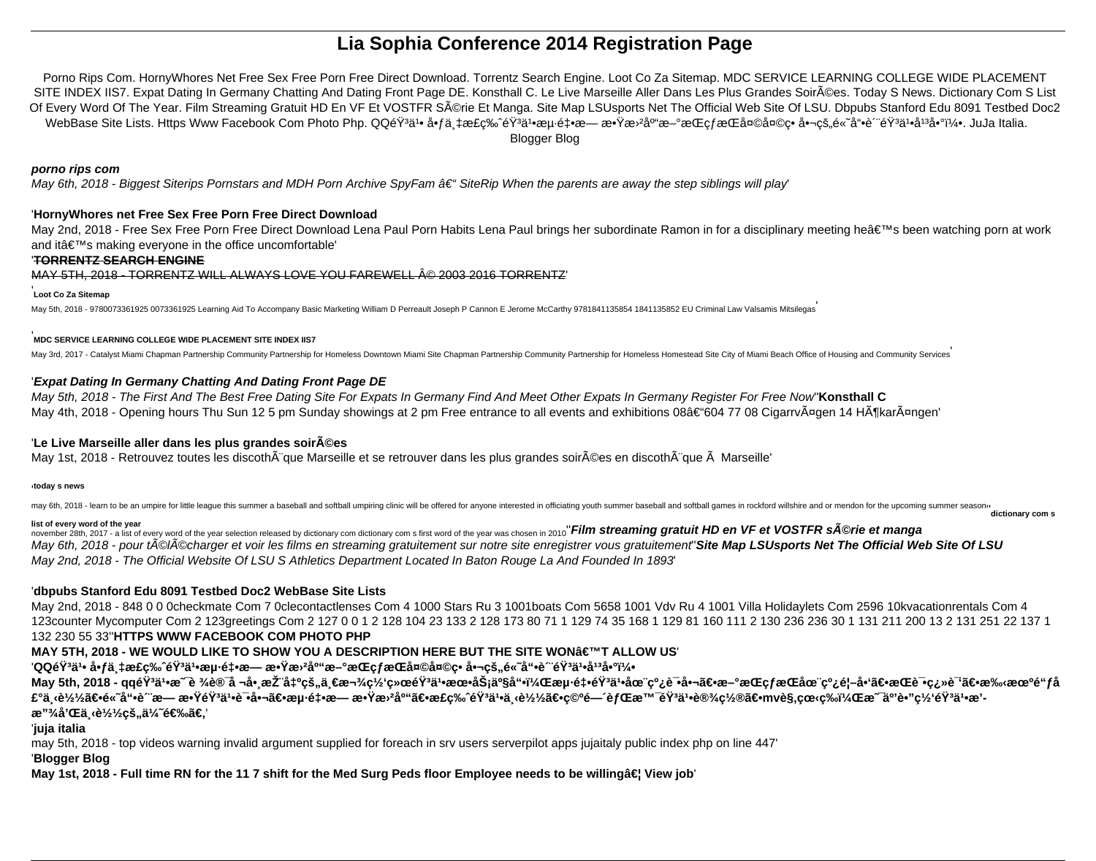# **Lia Sophia Conference 2014 Registration Page**

Porno Rips Com. HornyWhores Net Free Sex Free Porn Free Direct Download. Torrentz Search Engine. Loot Co Za Sitemap. MDC SERVICE LEARNING COLLEGE WIDE PLACEMENT SITE INDEX IIS7. Expat Dating In Germany Chatting And Dating Front Page DE. Konsthall C. Le Live Marseille Aller Dans Les Plus Grandes Soir©es. Today S News. Dictionary Com S List Of Every Word Of The Year. Film Streaming Gratuit HD En VF Et VOSTFR Série Et Manga. Site Map LSUsports Net The Official Web Site Of LSU. Dbpubs Stanford Edu 8091 Testbed Doc2 WebBase Site Lists. Https Www Facebook Com Photo Php. QQéŸ<sup>3</sup>ä<sup>1</sup>• å•fä tæ£ç‰^éŸ<sup>3</sup>ä<sup>1</sup>•æµ·ét•æ— æ•Ÿæ<sup>, ></sup>库æ–°æŒçfæŒå¤©å¤©ç• 啬çš"é«~å"•è "éŸ<sup>3</sup>ä<sup>1</sup>•å<sup>13</sup>啰5. JuJa Italia. Blogger Blog

#### **porno rips com**

May 6th, 2018 - Biggest Siterips Pornstars and MDH Porn Archive SpyFam  $\hat{\sigma} \in \hat{\sigma}$  SiteRip When the parents are away the step siblings will play

### '**HornyWhores net Free Sex Free Porn Free Direct Download**

May 2nd, 2018 - Free Sex Free Porn Free Direct Download Lena Paul Porn Habits Lena Paul brings her subordinate Ramon in for a disciplinary meeting he's been watching porn at work and it $a \in \mathbb{M}$ s making everyone in the office uncomfortable'

### '**TORRENTZ SEARCH ENGINE**

MAY 5TH, 2018 - TORRENTZ WILL ALWAYS LOVE YOU FAREWELL © 2003 2016 TORRENTZ'

#### '**Loot Co Za Sitemap**

May 5th, 2018 - 9780073361925 0073361925 Learning Aid To Accompany Basic Marketing William D Perreault Joseph P Cannon E Jerome McCarthy 9781841135854 1841135852 EU Criminal Law Valsamis Mitsilegas

#### '**MDC SERVICE LEARNING COLLEGE WIDE PLACEMENT SITE INDEX IIS7**

May 3rd, 2017 - Catalyst Miami Chapman Partnership Community Partnership for Homeless Downtown Miami Site Chapman Partnership Community Partnership for Homeless Homestead Site City of Miami Beach Office of Housing and Comm

## '**Expat Dating In Germany Chatting And Dating Front Page DE**

May 5th, 2018 - The First And The Best Free Dating Site For Expats In Germany Find And Meet Other Expats In Germany Register For Free Now''**Konsthall C** May 4th, 2018 - Opening hours Thu Sun 12 5 pm Sunday showings at 2 pm Free entrance to all events and exhibitions 08†604 77 08 Cigarrvägen 14 Hökarängen'

# 'Le Live Marseille aller dans les plus grandes soir $\tilde{A}$ ©es

May 1st, 2018 - Retrouvez toutes les discoth que Marseille et se retrouver dans les plus grandes soir©es en discoth que Marseille'

#### '**today s news**

may 6th, 2018 - learn to be an umpire for little league this summer a baseball and softball umpiring clinic will be offered for anyone interested in officiating youth summer baseball and softball games in rockford willshir

list of every word of the year<br>november 28th, 2017 - a list of every word of the year selection released by dictionary com dictionary com s first word of the year was chosen in 2010" Film streaming gratuit HD en VF et VOST May 6th, 2018 - pour tĩlÄ©charger et voir les films en streaming gratuitement sur notre site enregistrer vous gratuitement' Site Map LSUsports Net The Official Web Site Of LSU May 2nd, 2018 - The Official Website Of LSU S Athletics Department Located In Baton Rouge La And Founded In 1893'

# '**dbpubs Stanford Edu 8091 Testbed Doc2 WebBase Site Lists**

May 2nd, 2018 - 848 0 0 0checkmate Com 7 0clecontactlenses Com 4 1000 Stars Ru 3 1001boats Com 5658 1001 Vdv Ru 4 1001 Villa Holidaylets Com 2596 10kvacationrentals Com 4 123counter Mycomputer Com 2 123greetings Com 2 127 0 0 1 2 128 104 23 133 2 128 173 80 71 1 129 74 35 168 1 129 81 160 111 2 130 236 236 30 1 131 211 200 13 2 131 251 22 137 1 132 230 55 33''**HTTPS WWW FACEBOOK COM PHOTO PHP**

# **MAY 5TH, 2018 - WE WOULD LIKE TO SHOW YOU A DESCRIPTION HERE BUT THE SITE WON'T ALLOW US**

# 'QQ韪井 啃万æ£ç‰ˆéŸªäº•海釕æ— æ•Ÿæ<sup>,</sup>²åº"æ–°æŒçƒæŒå¤©å¤©ç• 啬çš"é«~å"•è ~韪井媪啰5

May 5th, 2018 - qq韪ä1•æ¯è ¾è®¯å ¬å•¸æŽ¨å‡ºçš"一款网络韪ä1•朕务产å"•,æµ⋅釕韪䜨线试啬〕æ—°æŒçƒæŒåœ¨çº¿é¦–å•'〕æŒè¯•翻译〕手机é"ƒå £°ä¸‹è½½ã€•é«~å"•è¯æ— 敟éŸää•试啬〕海釕æ— æ•Ÿæ›²åº"〕æ£c‰ˆéŸªä1•下载〕c©ºé—´èƒŒæ™¯éŸªäʰ•设c½®ã€•mvè§.cœ‹c‰ï¼Œæ¯äº'è•"c½'韪ä1•æ'æ"3⁄4å'Œä <u>(è1⁄21⁄2</u>çš,,ä1⁄4~选ã€,

### '**juja italia**

may 5th, 2018 - top videos warning invalid argument supplied for foreach in srv users serverpilot apps jujaitaly public index php on line 447'

### '**Blogger Blog**

May 1st, 2018 - Full time RN for the 11 7 shift for the Med Surg Peds floor Employee needs to be willing… View job'